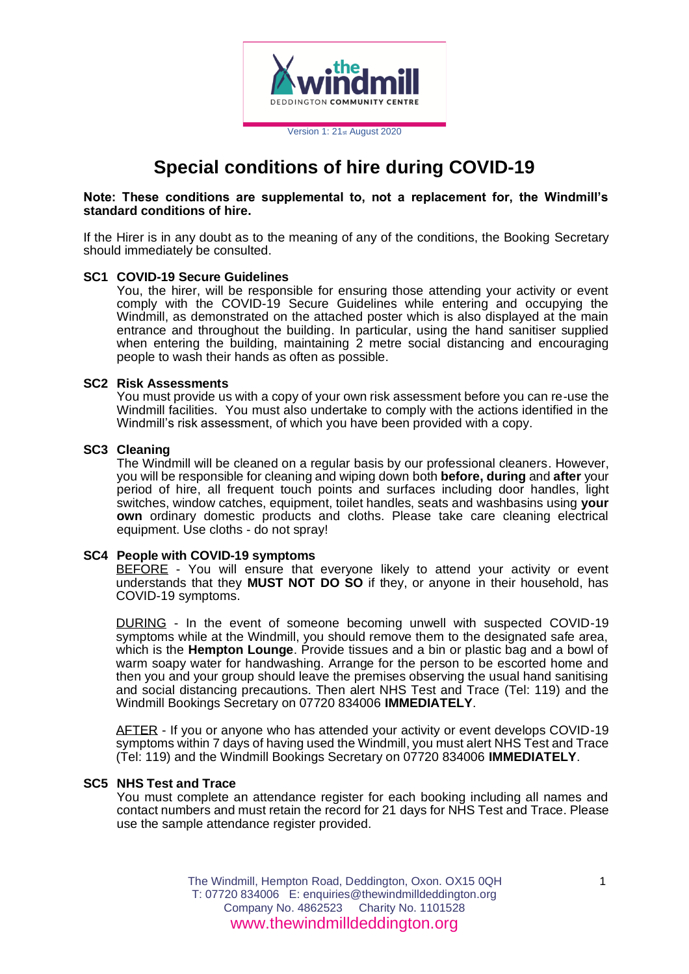

# **Special conditions of hire during COVID-19**

# **Note: These conditions are supplemental to, not a replacement for, the Windmill's standard conditions of hire.**

If the Hirer is in any doubt as to the meaning of any of the conditions, the Booking Secretary should immediately be consulted.

#### **SC1 COVID-19 Secure Guidelines**

You, the hirer, will be responsible for ensuring those attending your activity or event comply with the COVID-19 Secure Guidelines while entering and occupying the Windmill, as demonstrated on the attached poster which is also displayed at the main entrance and throughout the building. In particular, using the hand sanitiser supplied when entering the building, maintaining 2 metre social distancing and encouraging people to wash their hands as often as possible.

# **SC2 Risk Assessments**

You must provide us with a copy of your own risk assessment before you can re-use the Windmill facilities. You must also undertake to comply with the actions identified in the Windmill's risk assessment, of which you have been provided with a copy.

#### **SC3 Cleaning**

The Windmill will be cleaned on a regular basis by our professional cleaners. However, you will be responsible for cleaning and wiping down both **before, during** and **after** your period of hire, all frequent touch points and surfaces including door handles, light switches, window catches, equipment, toilet handles, seats and washbasins using **your own** ordinary domestic products and cloths. Please take care cleaning electrical equipment. Use cloths - do not spray!

# **SC4 People with COVID-19 symptoms**

BEFORE - You will ensure that everyone likely to attend your activity or event understands that they **MUST NOT DO SO** if they, or anyone in their household, has COVID-19 symptoms.

DURING - In the event of someone becoming unwell with suspected COVID-19 symptoms while at the Windmill, you should remove them to the designated safe area, which is the **Hempton Lounge**. Provide tissues and a bin or plastic bag and a bowl of warm soapy water for handwashing. Arrange for the person to be escorted home and then you and your group should leave the premises observing the usual hand sanitising and social distancing precautions. Then alert NHS Test and Trace (Tel: 119) and the Windmill Bookings Secretary on 07720 834006 **IMMEDIATELY**.

AFTER - If you or anyone who has attended your activity or event develops COVID-19 symptoms within 7 days of having used the Windmill, you must alert NHS Test and Trace (Tel: 119) and the Windmill Bookings Secretary on 07720 834006 **IMMEDIATELY**.

#### **SC5 NHS Test and Trace**

You must complete an attendance register for each booking including all names and contact numbers and must retain the record for 21 days for NHS Test and Trace. Please use the sample attendance register provided.

> The Windmill, Hempton Road, Deddington, Oxon. OX15 0QH T: 07720 834006 E: enquiries@thewindmilldeddington.org Company No. 4862523 Charity No. 1101528 www.thewindmilldeddington.org